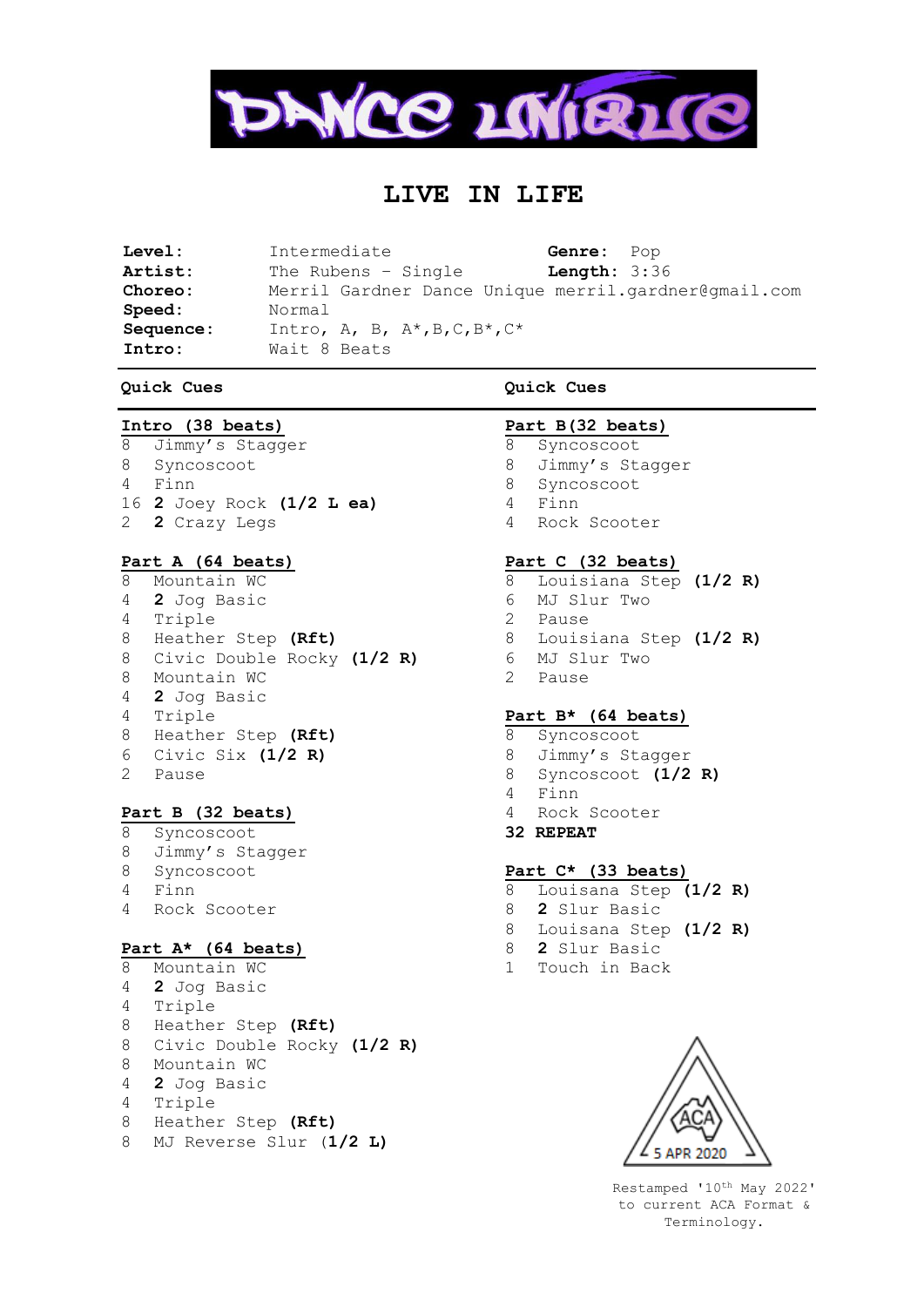

# **LIVE IN LIFE**

| Level:    | Intermediate                                               | Genre: Pop            |  |
|-----------|------------------------------------------------------------|-----------------------|--|
| Artist:   | The Rubens $-$ Single                                      | <b>Length:</b> $3:36$ |  |
| Choreo:   | Merril Gardner Dance Unique merril.gardner@gmail.com       |                       |  |
| Speed:    | Normal                                                     |                       |  |
| Sequence: | Intro, A, B, $A^*$ , B, C, B <sup>*</sup> , C <sup>*</sup> |                       |  |
| Intro:    | Wait 8 Beats                                               |                       |  |

#### **Quick Cues**

## **Intro (38 beats)**

Jimmy's Stagger Syncoscoot Finn **2** Joey Rock **(1/2 L ea) 2** Crazy Legs

## **Part A (64 beats)**

 Mountain WC **2** Jog Basic Triple Heather Step **(Rft)** Civic Double Rocky **(1/2 R)** Mountain WC **2** Jog Basic Triple Heather Step **(Rft)** Civic Six **(1/2 R)** Pause

# **Part B (32 beats)**

 Syncoscoot Jimmy's Stagger Syncoscoot Finn Rock Scooter

# **Part A\* (64 beats)**

 Mountain WC **2** Jog Basic Triple Heather Step **(Rft)** Civic Double Rocky **(1/2 R)** Mountain WC **2** Jog Basic Triple Heather Step **(Rft)** MJ Reverse Slur (**1/2 L)**

## **Quick Cues**

### **Part B(32 beats)**

- Syncoscoot
- Jimmy's Stagger
- Syncoscoot
- Finn
- Rock Scooter

### **Part C (32 beats)**

- Louisiana Step **(1/2 R)** MJ Slur Two Pause Louisiana Step **(1/2 R)** MJ Slur Two
- Pause

### **Part B\* (64 beats)**

- Syncoscoot
- Jimmy's Stagger
- Syncoscoot **(1/2 R)**
- Finn
- Rock Scooter
- **32 REPEAT**

## **Part C\* (33 beats)**

- Louisana Step **(1/2 R)**
- **2** Slur Basic
- Louisana Step **(1/2 R)**
- **2** Slur Basic
- Touch in Back



Restamped '10th May 2022' to current ACA Format & Terminology.